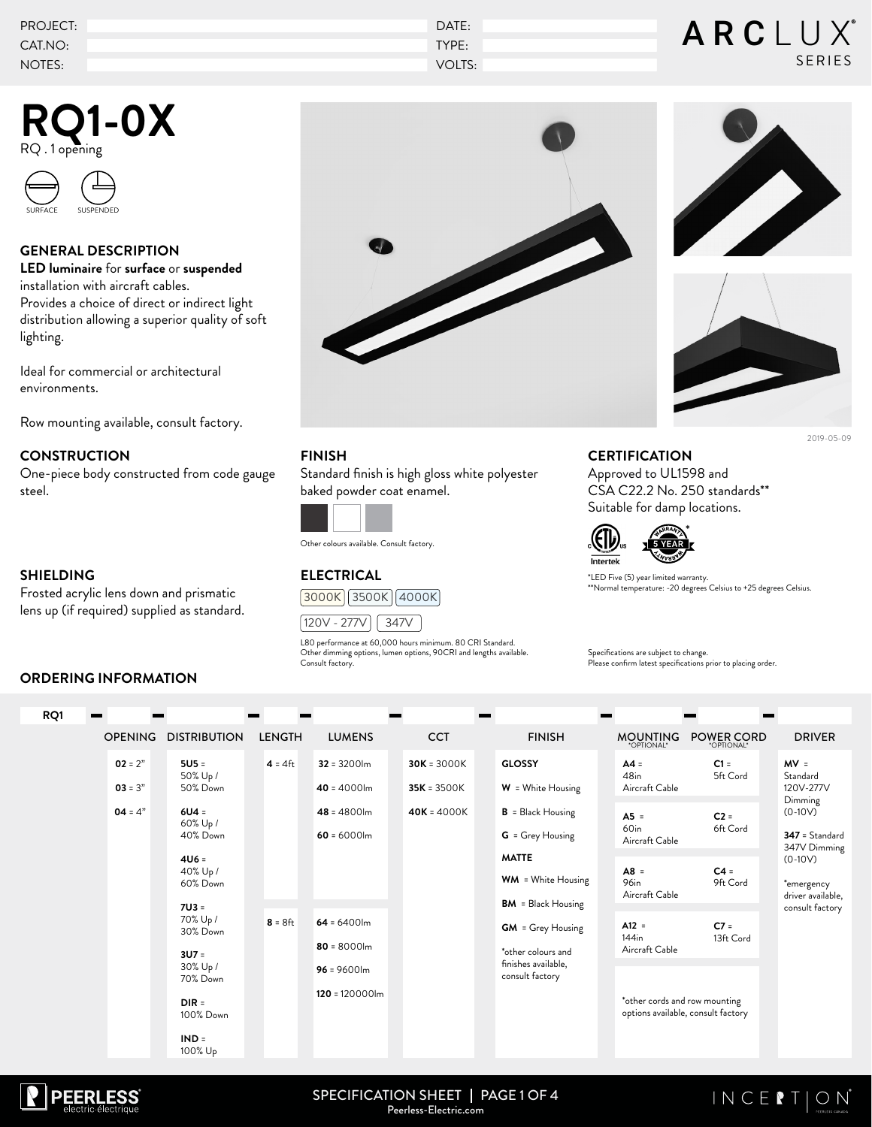| PROJECT: | DATE:  | ARCLUX®       |
|----------|--------|---------------|
| CAT.NO:  | TYPE:  |               |
| NOTES:   | VOLTS: | <b>SERIES</b> |

## **RQ1-0X** RQ . 1 opening



### **GENERAL DESCRIPTION**

**LED luminaire** for **surface** or **suspended**  installation with aircraft cables. Provides a choice of direct or indirect light distribution allowing a superior quality of soft lighting.

Ideal for commercial or architectural environments.

Row mounting available, consult factory.

### **CONSTRUCTION**

One-piece body constructed from code gauge steel.

#### **SHIELDING**

 $B<sub>0</sub>$ 

Frosted acrylic lens down and prismatic lens up (if required) supplied as standard.

### **ORDERING INFORMATION**







### **FINISH**

Standard finish is high gloss white polyester baked powder coat enamel.



Other colours available. Consult factory.

### **ELECTRICAL**





L80 performance at 60,000 hours minimum. 80 CRI Standard. Other dimming options, lumen options, 90CRI and lengths available. Consult factory.

### **CERTIFICATION**

Approved to UL1598 and CSA C22.2 No. 250 standards\*\* Suitable for damp locations.



\*LED Five (5) year limited warranty. \*\*Normal temperature: -20 degrees Celsius to +25 degrees Celsius.

Specifications are subject to change. Please confirm latest specifications prior to placing order.

| ושעו |                        |                                              |               |                                     |                                |                                                                        |                                              |                                    |                                                                 |
|------|------------------------|----------------------------------------------|---------------|-------------------------------------|--------------------------------|------------------------------------------------------------------------|----------------------------------------------|------------------------------------|-----------------------------------------------------------------|
|      | <b>OPENING</b>         | <b>DISTRIBUTION</b>                          | <b>LENGTH</b> | <b>LUMENS</b>                       | <b>CCT</b>                     | <b>FINISH</b>                                                          | <b>MOUNTING</b><br>*OPTIONAL*                | <b>POWER CORD</b><br>*OPTIONAL*    | <b>DRIVER</b>                                                   |
|      | $02 = 2"$<br>$03 = 3"$ | $5U5 =$<br>50% Up /<br>50% Down              | $4 = 4$ ft    | $32 = 3200$ lm<br>$40 = 4000$ lm    | $30K = 3000K$<br>$35K = 3500K$ | <b>GLOSSY</b><br>$W =$ White Housing                                   | $AA =$<br>48 <sub>in</sub><br>Aircraft Cable | $C1 =$<br>5ft Cord                 | $MV =$<br>Standard<br>120V-277V                                 |
|      | $04 = 4"$              | $6U4 =$<br>60% Up /<br>40% Down              |               | $48 = 4800$ lm<br>$60 = 6000$ lm    | $40K = 4000K$                  | $B = Black Housing$<br>G = Grey Housing                                | $A5 =$<br>60in<br>Aircraft Cable             | $C2 =$<br>6ft Cord                 | Dimming<br>$(0-10V)$<br>$347 =$ Standard<br>347V Dimming        |
|      |                        | $4U6 =$<br>40% Up /<br>60% Down<br>$7U3 =$   |               |                                     |                                | <b>MATTE</b><br><b>WM</b> = White Housing<br><b>BM</b> = Black Housing | $AB =$<br>96in<br>Aircraft Cable             | $C4 =$<br>9ft Cord                 | $(0-10V)$<br>*emergency<br>driver available,<br>consult factory |
|      |                        | 70% Up /<br>30% Down<br>$3U7 =$              | $8 = 8$ ft    | $64 = 6400$ lm<br>$80 = 8000$ lm    |                                | <b>GM</b> = Grey Housing<br>*other colours and                         | $A12 =$<br>$144$ in<br>Aircraft Cable        | $C7 =$<br>13ft Cord                |                                                                 |
|      |                        | 30% Up /<br>70% Down<br>$DIR =$<br>100% Down |               | $96 = 9600$ lm<br>$120 = 120000$ lm |                                | finishes available,<br>consult factory                                 | *other cords and row mounting                | options available, consult factory |                                                                 |
|      |                        | $IND =$<br>100% Up                           |               |                                     |                                |                                                                        |                                              |                                    |                                                                 |



SPECIFICATION SHEET | PAGE 1 OF 4 Peerless-Electric.com

### $INCEPION$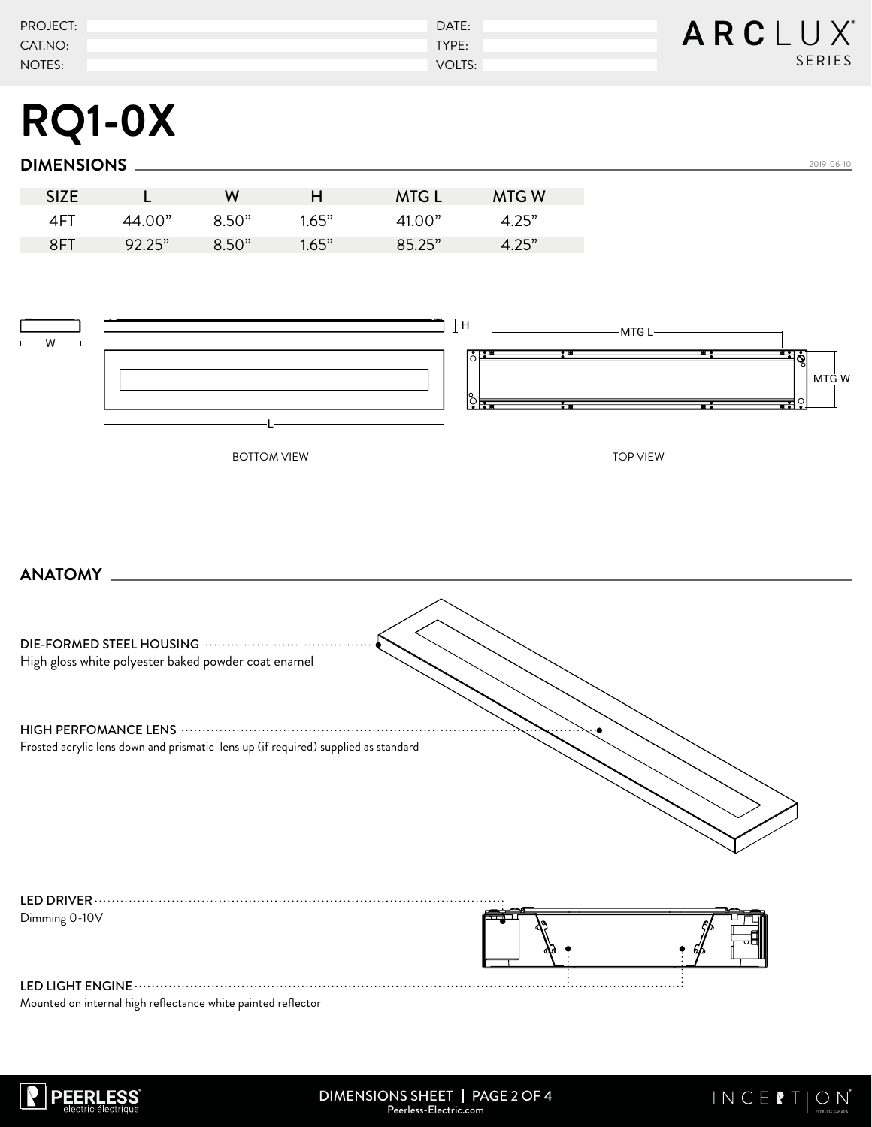| <b>PROJECT:</b> | DATE:  | ARCLUX |
|-----------------|--------|--------|
| CAT.NO:         | TYPE:  |        |
| NOTES:          | VOLTS: | SERIES |

# **RQ1-0X**

### **DIMENSIONS**

| <b>SIZE</b> |        | w     |       | <b>MTG L</b>                     | <b>MTGW</b>      |
|-------------|--------|-------|-------|----------------------------------|------------------|
| 4F          | 44 N.O | 8.50" | 1.65" | $\Delta$ 1 $\Omega$ <sup>"</sup> | オ つらか            |
| 8FT         | 92.25" | 8.50" | 1.65" | 85.25"                           | $\Lambda$ $25$ " |



### **ANATOMY**

| High gloss white polyester baked powder coat enamel                                |  |
|------------------------------------------------------------------------------------|--|
|                                                                                    |  |
| Frosted acrylic lens down and prismatic lens up (if required) supplied as standard |  |
| LED DRIVER $\cdot$                                                                 |  |
| Dimming 0-10V                                                                      |  |
| LED LIGHT ENGINE                                                                   |  |

Mounted on internal high reflectance white painted reflector



2019-06-10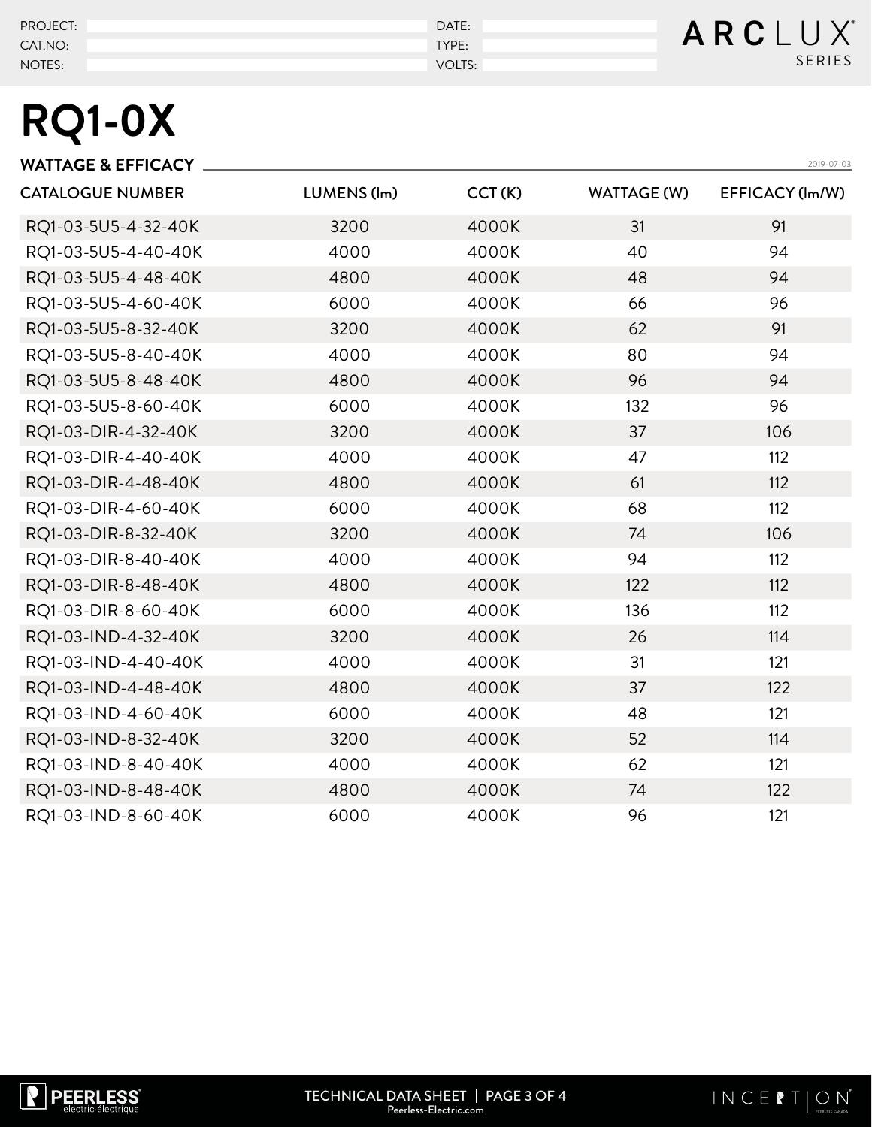| PROJECT: | DATE:  | ARCLUX        |
|----------|--------|---------------|
| CAT.NO:  | TYPE:  |               |
| NOTES:   | VOLTS: | <b>SERIES</b> |

# **RQ1-0X**

| <b>WATTAGE &amp; EFFICACY</b> |             |        |                    | 2019-07-03      |
|-------------------------------|-------------|--------|--------------------|-----------------|
| <b>CATALOGUE NUMBER</b>       | LUMENS (lm) | CCT(K) | <b>WATTAGE (W)</b> | EFFICACY (Im/W) |
| RQ1-03-5U5-4-32-40K           | 3200        | 4000K  | 31                 | 91              |
| RQ1-03-5U5-4-40-40K           | 4000        | 4000K  | 40                 | 94              |
| RQ1-03-5U5-4-48-40K           | 4800        | 4000K  | 48                 | 94              |
| RQ1-03-5U5-4-60-40K           | 6000        | 4000K  | 66                 | 96              |
| RQ1-03-5U5-8-32-40K           | 3200        | 4000K  | 62                 | 91              |
| RQ1-03-5U5-8-40-40K           | 4000        | 4000K  | 80                 | 94              |
| RQ1-03-5U5-8-48-40K           | 4800        | 4000K  | 96                 | 94              |
| RQ1-03-5U5-8-60-40K           | 6000        | 4000K  | 132                | 96              |
| RQ1-03-DIR-4-32-40K           | 3200        | 4000K  | 37                 | 106             |
| RQ1-03-DIR-4-40-40K           | 4000        | 4000K  | 47                 | 112             |
| RQ1-03-DIR-4-48-40K           | 4800        | 4000K  | 61                 | 112             |
| RQ1-03-DIR-4-60-40K           | 6000        | 4000K  | 68                 | 112             |
| RQ1-03-DIR-8-32-40K           | 3200        | 4000K  | 74                 | 106             |
| RQ1-03-DIR-8-40-40K           | 4000        | 4000K  | 94                 | 112             |
| RQ1-03-DIR-8-48-40K           | 4800        | 4000K  | 122                | 112             |
| RQ1-03-DIR-8-60-40K           | 6000        | 4000K  | 136                | 112             |
| RQ1-03-IND-4-32-40K           | 3200        | 4000K  | 26                 | 114             |
| RQ1-03-IND-4-40-40K           | 4000        | 4000K  | 31                 | 121             |
| RQ1-03-IND-4-48-40K           | 4800        | 4000K  | 37                 | 122             |
| RQ1-03-IND-4-60-40K           | 6000        | 4000K  | 48                 | 121             |
| RQ1-03-IND-8-32-40K           | 3200        | 4000K  | 52                 | 114             |
| RQ1-03-IND-8-40-40K           | 4000        | 4000K  | 62                 | 121             |
| RQ1-03-IND-8-48-40K           | 4800        | 4000K  | 74                 | 122             |
| RQ1-03-IND-8-60-40K           | 6000        | 4000K  | 96                 | 121             |
|                               |             |        |                    |                 |